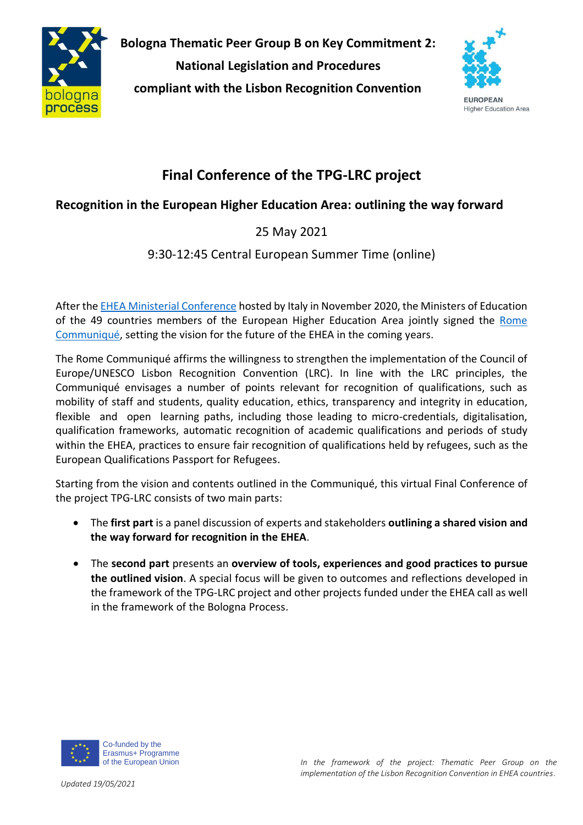

**Bologna Thematic Peer Group B on Key Commitment 2: National Legislation and Procedures compliant with the Lisbon Recognition Convention**



**Higher Education Area** 

# **Final Conference of the TPG-LRC project**

## **Recognition in the European Higher Education Area: outlining the way forward**

## 25 May 2021

### 9:30-12:45 Central European Summer Time (online)

After th[e EHEA Ministerial Conference](https://ehea2020rome.it/) hosted by Italy in November 2020, the Ministers of Education of the 49 countries members of the European Higher Education Area jointly signed the [Rome](http://www.ehea.info/Upload/Rome_Ministerial_Communique.pdf)  [Communiqué,](http://www.ehea.info/Upload/Rome_Ministerial_Communique.pdf) setting the vision for the future of the EHEA in the coming years.

The Rome Communiqué affirms the willingness to strengthen the implementation of the Council of Europe/UNESCO Lisbon Recognition Convention (LRC). In line with the LRC principles, the Communiqué envisages a number of points relevant for recognition of qualifications, such as mobility of staff and students, quality education, ethics, transparency and integrity in education, flexible and open learning paths, including those leading to micro-credentials, digitalisation, qualification frameworks, automatic recognition of academic qualifications and periods of study within the EHEA, practices to ensure fair recognition of qualifications held by refugees, such as the European Qualifications Passport for Refugees.

Starting from the vision and contents outlined in the Communiqué, this virtual Final Conference of the project TPG-LRC consists of two main parts:

- The **first part** is a panel discussion of experts and stakeholders **outlining a shared vision and the way forward for recognition in the EHEA**.
- The **second part** presents an **overview of tools, experiences and good practices to pursue the outlined vision**. A special focus will be given to outcomes and reflections developed in the framework of the TPG-LRC project and other projects funded under the EHEA call as well in the framework of the Bologna Process.



Erasmus+ Programme of the European Union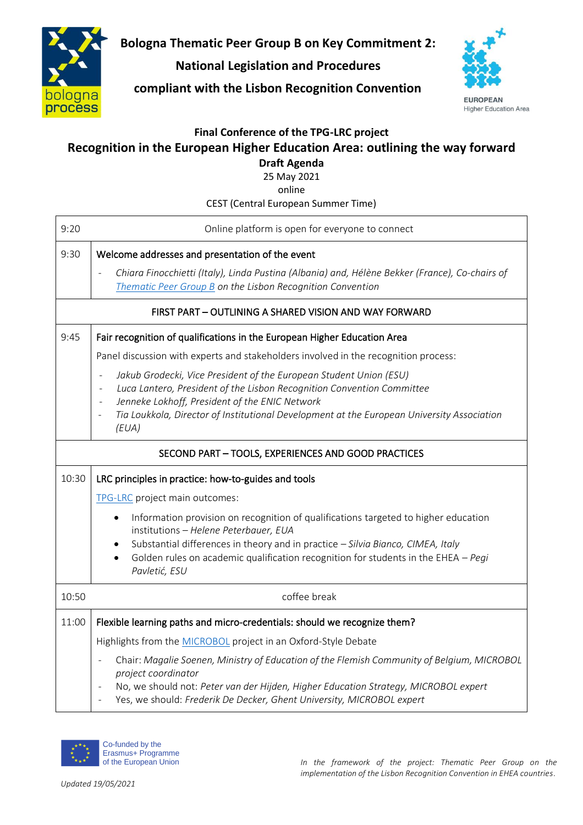

**Bologna Thematic Peer Group B on Key Commitment 2:**

### **National Legislation and Procedures**

**compliant with the Lisbon Recognition Convention**



**EUROPEAN Higher Education Area** 

#### **Final Conference of the TPG-LRC project**

# **Recognition in the European Higher Education Area: outlining the way forward**

**Draft Agenda**

25 May 2021

online

CEST (Central European Summer Time)

| 9:20                                                   | Online platform is open for everyone to connect                                                                                                                                                                                                                                                                                                                                                                                                                                  |  |
|--------------------------------------------------------|----------------------------------------------------------------------------------------------------------------------------------------------------------------------------------------------------------------------------------------------------------------------------------------------------------------------------------------------------------------------------------------------------------------------------------------------------------------------------------|--|
| 9:30                                                   | Welcome addresses and presentation of the event<br>Chiara Finocchietti (Italy), Linda Pustina (Albania) and, Hélène Bekker (France), Co-chairs of<br>Thematic Peer Group B on the Lisbon Recognition Convention                                                                                                                                                                                                                                                                  |  |
| FIRST PART - OUTLINING A SHARED VISION AND WAY FORWARD |                                                                                                                                                                                                                                                                                                                                                                                                                                                                                  |  |
| 9:45                                                   | Fair recognition of qualifications in the European Higher Education Area                                                                                                                                                                                                                                                                                                                                                                                                         |  |
|                                                        | Panel discussion with experts and stakeholders involved in the recognition process:<br>Jakub Grodecki, Vice President of the European Student Union (ESU)<br>$\overline{\phantom{a}}$<br>Luca Lantero, President of the Lisbon Recognition Convention Committee<br>$\overline{\phantom{a}}$<br>Jenneke Lokhoff, President of the ENIC Network<br>$\overline{\phantom{a}}$<br>Tia Loukkola, Director of Institutional Development at the European University Association<br>(EUA) |  |
| SECOND PART - TOOLS, EXPERIENCES AND GOOD PRACTICES    |                                                                                                                                                                                                                                                                                                                                                                                                                                                                                  |  |
| 10:30                                                  | LRC principles in practice: how-to-guides and tools                                                                                                                                                                                                                                                                                                                                                                                                                              |  |
|                                                        | TPG-LRC project main outcomes:<br>Information provision on recognition of qualifications targeted to higher education<br>$\bullet$<br>institutions - Helene Peterbauer, EUA<br>Substantial differences in theory and in practice - Silvia Bianco, CIMEA, Italy<br>$\bullet$<br>Golden rules on academic qualification recognition for students in the EHEA $-$ Pegi<br>Pavletić, ESU                                                                                             |  |
| 10:50                                                  | coffee break                                                                                                                                                                                                                                                                                                                                                                                                                                                                     |  |
| 11:00                                                  | Flexible learning paths and micro-credentials: should we recognize them?<br>Highlights from the MICROBOL project in an Oxford-Style Debate                                                                                                                                                                                                                                                                                                                                       |  |
|                                                        | Chair: Magalie Soenen, Ministry of Education of the Flemish Community of Belgium, MICROBOL<br>project coordinator<br>No, we should not: Peter van der Hijden, Higher Education Strategy, MICROBOL expert<br>Yes, we should: Frederik De Decker, Ghent University, MICROBOL expert                                                                                                                                                                                                |  |